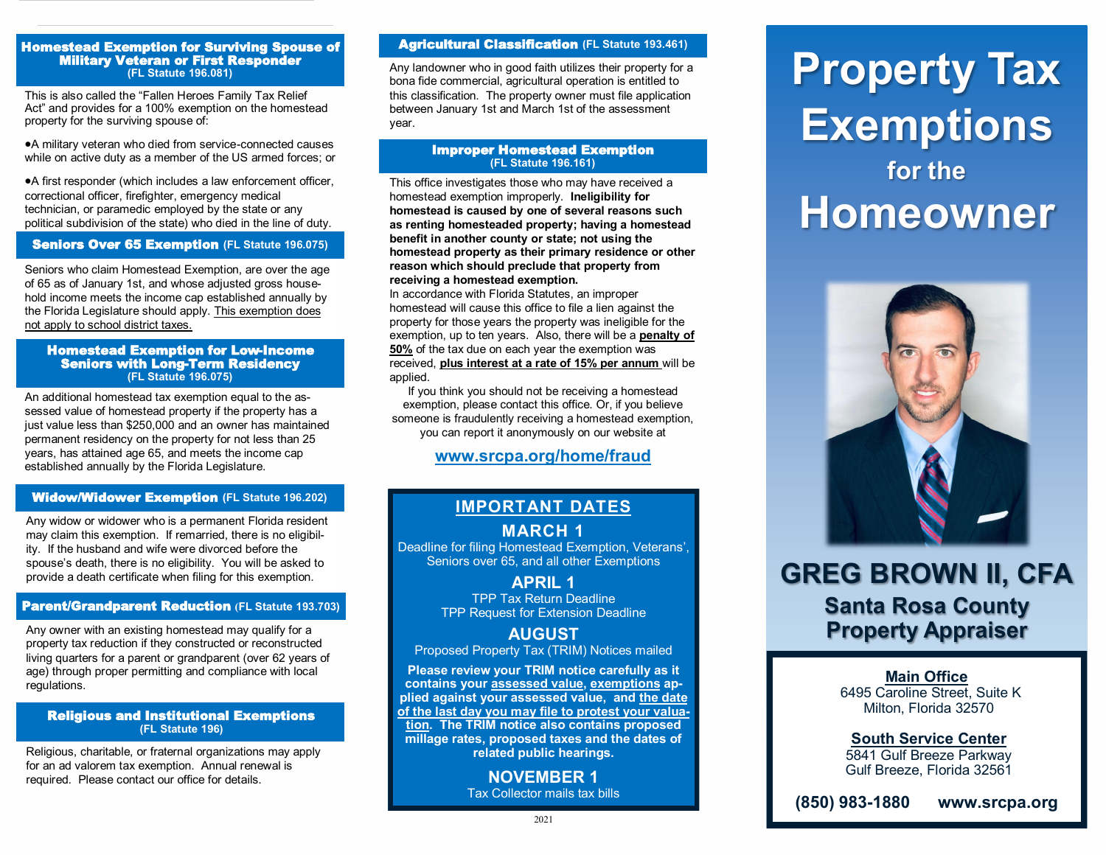#### Homestead Exemption for Surviving Spouse of Military Veteran or First Responder **(FL Statute 196.081)**

This is also called the "Fallen Heroes Family Tax Relief Act" and provides for a 100% exemption on the homestead property for the surviving spouse of:

•A military veteran who died from service-connected causes while on active duty as a member of the US armed forces; or

•A first responder (which includes a law enforcement officer, correctional officer, firefighter, emergency medical technician, or paramedic employed by the state or any political subdivision of the state) who died in the line of duty.

#### **Seniors Over 65 Exemption (FL Statute 196.075)**

Seniors who claim Homestead Exemption, are over the age of 65 as of January 1st, and whose adjusted gross household income meets the income cap established annually by the Florida Legislature should apply. This exemption does not apply to school district taxes.

#### Homestead Exemption for Low-Income Seniors with Long-Term Residency **(FL Statute 196.075)**

An additional homestead tax exemption equal to the assessed value of homestead property if the property has a just value less than \$250,000 and an owner has maintained permanent residency on the property for not less than 25 years, has attained age 65, and meets the income cap established annually by the Florida Legislature.

#### Widow/Widower Exemption **(FL Statute 196.202)**

Any widow or widower who is a permanent Florida resident may claim this exemption. If remarried, there is no eligibility. If the husband and wife were divorced before the spouse's death, there is no eligibility. You will be asked to provide a death certificate when filing for this exemption.

#### Parent/Grandparent Reduction **(FL Statute 193.703)**

Any owner with an existing homestead may qualify for a property tax reduction if they constructed or reconstructed living quarters for a parent or grandparent (over 62 years of age) through proper permitting and compliance with local regulations.

#### Religious and Institutional Exemptions **(FL Statute 196)**

Religious, charitable, or fraternal organizations may apply for an ad valorem tax exemption. Annual renewal is required. Please contact our office for details.

#### Agricultural Classification **(FL Statute 193.461)**

Any landowner who in good faith utilizes their property for a bona fide commercial, agricultural operation is entitled to this classification. The property owner must file application between January 1st and March 1st of the assessment year.

#### Improper Homestead Exemption **(FL Statute 196.161)**

This office investigates those who may have received a homestead exemption improperly. **Ineligibility for homestead is caused by one of several reasons such as renting homesteaded property; having a homestead benefit in another county or state; not using the homestead property as their primary residence or other reason which should preclude that property from receiving a homestead exemption.**

In accordance with Florida Statutes, an improper homestead will cause this office to file a lien against the property for those years the property was ineligible for the exemption, up to ten years. Also, there will be a **penalty of 50%** of the tax due on each year the exemption was received, **plus interest at a rate of 15% per annum** will be applied.

If you think you should not be receiving a homestead exemption, please contact this office. Or, if you believe someone is fraudulently receiving a homestead exemption, you can report it anonymously on our website at

#### **www.srcpa.org/home/fraud**

## **IMPORTANT DATES**

#### **MARCH 1**

Deadline for filing Homestead Exemption, Veterans', Seniors over 65, and all other Exemptions

> **APRIL 1**  TPP Tax Return Deadline TPP Request for Extension Deadline

### **AUGUST**

Proposed Property Tax (TRIM) Notices mailed

**Please review your TRIM notice carefully as it contains your assessed value, exemptions applied against your assessed value, and the date of the last day you may file to protest your valuation. The TRIM notice also contains proposed millage rates, proposed taxes and the dates of related public hearings.**

> **NOVEMBER 1** Tax Collector mails tax bills

# **Property Tax Exemptions for the Homeowner**



# **GREG BROWN II, CFA Santa Rosa County Property Appraiser**

**Main Office** 6495 Caroline Street, Suite K Milton, Florida 32570

**South Service Center** 5841 Gulf Breeze Parkway Gulf Breeze, Florida 32561

**(850) 983-1880 www.srcpa.org**